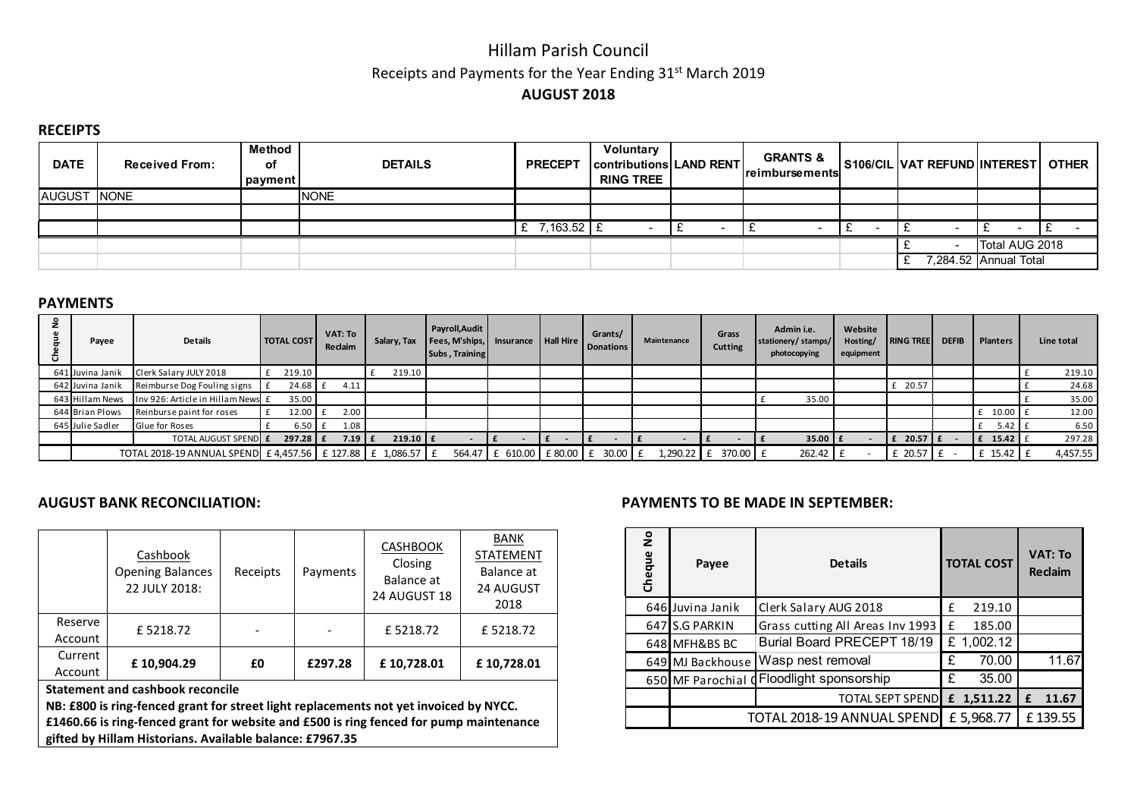# Hillam Parish Council Receipts and Payments for the Year Ending 31<sup>st</sup> March 2019 AUGUST 2018

## **RECEIPTS**

| <b>DATE</b>        | <b>Received From:</b> | <b>Method</b><br>οf<br>payment | <b>DETAILS</b> | <b>PRECEPT</b> | Voluntary<br>contributions LAND RENT<br><b>RING TREE</b> | <b>GRANTS &amp;</b><br>reimbursements | S106/CIL VAT REFUND INTEREST |                       | <b>OTHER</b> |
|--------------------|-----------------------|--------------------------------|----------------|----------------|----------------------------------------------------------|---------------------------------------|------------------------------|-----------------------|--------------|
| <b>AUGUST NONE</b> |                       |                                | <b>INONE</b>   |                |                                                          |                                       |                              |                       |              |
|                    |                       |                                |                |                |                                                          |                                       |                              |                       |              |
|                    |                       |                                |                | 7,163.52 £     |                                                          |                                       |                              |                       |              |
|                    |                       |                                |                |                |                                                          |                                       |                              | Total AUG 2018        |              |
|                    |                       |                                |                |                |                                                          |                                       |                              | 7,284.52 Annual Total |              |

## PAYMENTS

| $\circ$<br>$\mathbf{z}$ | Payee            | <b>Details</b>                                              | <b>TOTAL COST</b> | VAT: To<br>Reclaim | Salary, Tax  | Payroll, Audit<br>  Fees, M'ships,   Insurance   Hall Hire  <br>Subs, Training |                                           | Grants/<br><b>Donations</b> | Maintenance | Grass<br>Cutting        | Admin i.e.<br>stationery/stamps/<br>photocopying | Website<br>Hosting/<br>equipment | <b>RING TREE</b> | <b>DEFIB</b> | <b>Planters</b>                 | Line total |
|-------------------------|------------------|-------------------------------------------------------------|-------------------|--------------------|--------------|--------------------------------------------------------------------------------|-------------------------------------------|-----------------------------|-------------|-------------------------|--------------------------------------------------|----------------------------------|------------------|--------------|---------------------------------|------------|
|                         | 641 Juvina Janik | Clerk Salary JULY 2018                                      | 219.10            |                    | 219.10       |                                                                                |                                           |                             |             |                         |                                                  |                                  |                  |              |                                 | 219.10     |
|                         | 642 Juvina Janik | Reimburse Dog Fouling signs                                 | $24.68$ $E$       | 4.11               |              |                                                                                |                                           |                             |             |                         |                                                  |                                  | £ 20.57          |              |                                 | 24.68      |
|                         | 643 Hillam News  | Inv 926: Article in Hillam News £                           | 35.00             |                    |              |                                                                                |                                           |                             |             |                         | 35.00                                            |                                  |                  |              |                                 | 35.00      |
|                         | 644 Brian Plows  | Reinburse paint for roses                                   | 12.00 £           | 2.00               |              |                                                                                |                                           |                             |             |                         |                                                  |                                  |                  |              | 10.00                           | 12.00      |
|                         | 645 Julie Sadler | Glue for Roses                                              | 6.50              | 1.08               |              |                                                                                |                                           |                             |             |                         |                                                  |                                  |                  |              | 5.42                            | 6.50       |
|                         |                  | TOTAL AUGUST SPEND E                                        | $297.28$ $E$      | $7.19$ $E$         | $219.10$ $E$ |                                                                                |                                           |                             |             |                         | $35.00$ $E$                                      |                                  | $f$ 20.57 $f$    |              | $\mathbf{f}$ 15.42 $\mathbf{f}$ | 297.28     |
|                         |                  | TOTAL 2018-19 ANNUAL SPEND E 4,457.56 E 127.88 E 1,086.57 E |                   |                    |              |                                                                                | 564.47   £ 610.00   £ 80.00   £ 30.00   £ |                             |             | 1,290.22 $E$ 370.00 $E$ | 262.42 f                                         |                                  | £ 20.57 £        |              | $f$ 15.42 $\parallel$           | 4,457.55   |

|                    | Cashbook<br><b>Opening Balances</b><br>22 JULY 2018:    | Receipts | Payments | <b>CASHBOOK</b><br>Closing<br>Balance at<br>24 AUGUST 18 | <b>BANK</b><br><b>STATEMENT</b><br>Balance at<br>24 AUGUST<br>2018 |  |  |  |  |  |
|--------------------|---------------------------------------------------------|----------|----------|----------------------------------------------------------|--------------------------------------------------------------------|--|--|--|--|--|
| Reserve<br>Account | £5218.72                                                |          |          | £5218.72                                                 | £5218.72                                                           |  |  |  |  |  |
| Current<br>Account | £10,904.29<br>£10,728.01<br>£10,728.01<br>£297.28<br>£0 |          |          |                                                          |                                                                    |  |  |  |  |  |
|                    | <b>Statement and cashbook reconcile</b>                 |          |          |                                                          |                                                                    |  |  |  |  |  |

NB: £800 is ring-fenced grant for street light replacements not yet invoiced by NYCC. £1460.66 is ring-fenced grant for website and £500 is ring fenced for pump maintenance gifted by Hillam Historians. Available balance: £7967.35

## AUGUST BANK RECONCILIATION: PAYMENTS TO BE MADE IN SEPTEMBER:

| Cheque No | Payee                      | <b>Details</b>                            | <b>TOTAL COST</b> | VAT: To<br><b>Reclaim</b> |  |  |
|-----------|----------------------------|-------------------------------------------|-------------------|---------------------------|--|--|
|           | 646 Juvina Janik           | Clerk Salary AUG 2018                     | 219.10<br>f       |                           |  |  |
|           | 647 S.G PARKIN             | Grass cutting All Areas Inv 1993          | 185.00<br>£       |                           |  |  |
|           | 648 MFH&BS BC              | Burial Board PRECEPT 18/19                | £1,002.12         |                           |  |  |
|           | 649 MJ Backhouse           | Wasp nest removal                         | 70.00<br>£        | 11.67                     |  |  |
|           |                            | 650 MF Parochial d Floodlight sponsorship | £<br>35.00        |                           |  |  |
|           |                            | <b>TOTAL SEPT SPEND</b>                   | £ 1,511.22        | 11.67<br>£                |  |  |
|           | TOTAL 2018-19 ANNUAL SPEND | £5,968.77                                 | £139.55           |                           |  |  |